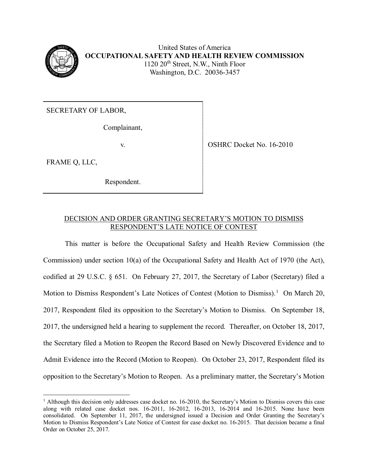

United States of America **OCCUPATIONAL SAFETY AND HEALTH REVIEW COMMISSION** 1120 20<sup>th</sup> Street, N.W., Ninth Floor Washington, D.C. 20036-3457

SECRETARY OF LABOR,

Complainant,

v. SHRC Docket No. 16-2010

FRAME Q, LLC,

 $\overline{a}$ 

Respondent.

# DECISION AND ORDER GRANTING SECRETARY'S MOTION TO DISMISS RESPONDENT'S LATE NOTICE OF CONTEST

This matter is before the Occupational Safety and Health Review Commission (the Commission) under section 10(a) of the Occupational Safety and Health Act of 1970 (the Act), codified at 29 U.S.C. § 651. On February 27, 2017, the Secretary of Labor (Secretary) filed a Motion to Dismiss Respondent's Late Notices of Contest (Motion to Dismiss).<sup>[1](#page-0-0)</sup> On March 20, 2017, Respondent filed its opposition to the Secretary's Motion to Dismiss. On September 18, 2017, the undersigned held a hearing to supplement the record. Thereafter, on October 18, 2017, the Secretary filed a Motion to Reopen the Record Based on Newly Discovered Evidence and to Admit Evidence into the Record (Motion to Reopen). On October 23, 2017, Respondent filed its opposition to the Secretary's Motion to Reopen. As a preliminary matter, the Secretary's Motion

<span id="page-0-0"></span> $<sup>1</sup>$  Although this decision only addresses case docket no. 16-2010, the Secretary's Motion to Dismiss covers this case</sup> along with related case docket nos. 16-2011, 16-2012, 16-2013, 16-2014 and 16-2015. None have been consolidated. On September 11, 2017, the undersigned issued a Decision and Order Granting the Secretary's Motion to Dismiss Respondent's Late Notice of Contest for case docket no. 16-2015. That decision became a final Order on October 25, 2017.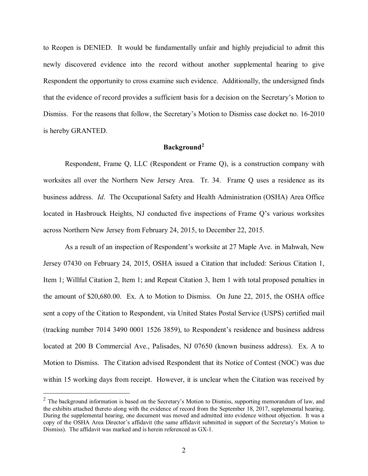to Reopen is DENIED. It would be fundamentally unfair and highly prejudicial to admit this newly discovered evidence into the record without another supplemental hearing to give Respondent the opportunity to cross examine such evidence. Additionally, the undersigned finds that the evidence of record provides a sufficient basis for a decision on the Secretary's Motion to Dismiss. For the reasons that follow, the Secretary's Motion to Dismiss case docket no. 16-2010 is hereby GRANTED.

## **Background[2](#page-1-0)**

Respondent, Frame Q, LLC (Respondent or Frame Q), is a construction company with worksites all over the Northern New Jersey Area. Tr. 34. Frame Q uses a residence as its business address. *Id*. The Occupational Safety and Health Administration (OSHA) Area Office located in Hasbrouck Heights, NJ conducted five inspections of Frame Q's various worksites across Northern New Jersey from February 24, 2015, to December 22, 2015.

As a result of an inspection of Respondent's worksite at 27 Maple Ave. in Mahwah, New Jersey 07430 on February 24, 2015, OSHA issued a Citation that included: Serious Citation 1, Item 1; Willful Citation 2, Item 1; and Repeat Citation 3, Item 1 with total proposed penalties in the amount of \$20,680.00. Ex. A to Motion to Dismiss. On June 22, 2015, the OSHA office sent a copy of the Citation to Respondent, via United States Postal Service (USPS) certified mail (tracking number 7014 3490 0001 1526 3859), to Respondent's residence and business address located at 200 B Commercial Ave., Palisades, NJ 07650 (known business address). Ex. A to Motion to Dismiss. The Citation advised Respondent that its Notice of Contest (NOC) was due within 15 working days from receipt. However, it is unclear when the Citation was received by

<span id="page-1-0"></span> $2$  The background information is based on the Secretary's Motion to Dismiss, supporting memorandum of law, and the exhibits attached thereto along with the evidence of record from the September 18, 2017, supplemental hearing. During the supplemental hearing, one document was moved and admitted into evidence without objection. It was a copy of the OSHA Area Director's affidavit (the same affidavit submitted in support of the Secretary's Motion to Dismiss). The affidavit was marked and is herein referenced as GX-1.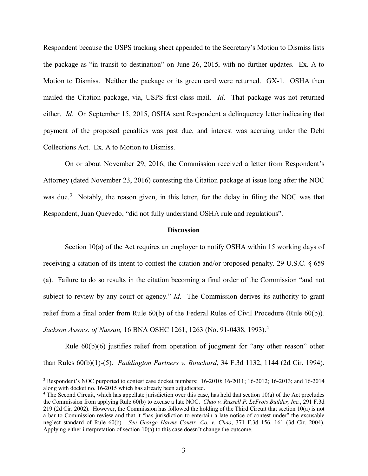Respondent because the USPS tracking sheet appended to the Secretary's Motion to Dismiss lists the package as "in transit to destination" on June 26, 2015, with no further updates. Ex. A to Motion to Dismiss. Neither the package or its green card were returned. GX-1. OSHA then mailed the Citation package, via, USPS first-class mail. *Id*. That package was not returned either. *Id*. On September 15, 2015, OSHA sent Respondent a delinquency letter indicating that payment of the proposed penalties was past due, and interest was accruing under the Debt Collections Act. Ex. A to Motion to Dismiss.

 On or about November 29, 2016, the Commission received a letter from Respondent's Attorney (dated November 23, 2016) contesting the Citation package at issue long after the NOC was due.<sup>[3](#page-2-0)</sup> Notably, the reason given, in this letter, for the delay in filing the NOC was that Respondent, Juan Quevedo, "did not fully understand OSHA rule and regulations".

#### **Discussion**

Section 10(a) of the Act requires an employer to notify OSHA within 15 working days of receiving a citation of its intent to contest the citation and/or proposed penalty. 29 U.S.C. § 659 (a). Failure to do so results in the citation becoming a final order of the Commission "and not subject to review by any court or agency." *Id.* The Commission derives its authority to grant relief from a final order from Rule 60(b) of the Federal Rules of Civil Procedure (Rule 60(b))*. Jackson Assocs. of Nassau,* 16 BNA OSHC 1261, 1263 (No. 91-0438, 1993).[4](#page-2-1)

Rule 60(b)(6) justifies relief from operation of judgment for "any other reason" other than Rules 60(b)(1)-(5). *Paddington Partners v. Bouchard*, 34 F.3d 1132, 1144 (2d Cir. 1994).

<span id="page-2-0"></span><sup>&</sup>lt;sup>3</sup> Respondent's NOC purported to contest case docket numbers: 16-2010; 16-2011; 16-2012; 16-2013; and 16-2014 along with docket no. 16-2015 which has already been adjudicated.

<span id="page-2-1"></span><sup>&</sup>lt;sup>4</sup> The Second Circuit, which has appellate jurisdiction over this case, has held that section 10(a) of the Act precludes the Commission from applying Rule 60(b) to excuse a late NOC. *Chao v. Russell P. LeFrois Builder, Inc.*, 291 F.3d 219 (2d Cir. 2002). However, the Commission has followed the holding of the Third Circuit that section 10(a) is not a bar to Commission review and that it "has jurisdiction to entertain a late notice of contest under" the excusable neglect standard of Rule 60(b). *See George Harms Constr. Co. v. Chao*, 371 F.3d 156, 161 (3d Cir. 2004). Applying either interpretation of section 10(a) to this case doesn't change the outcome.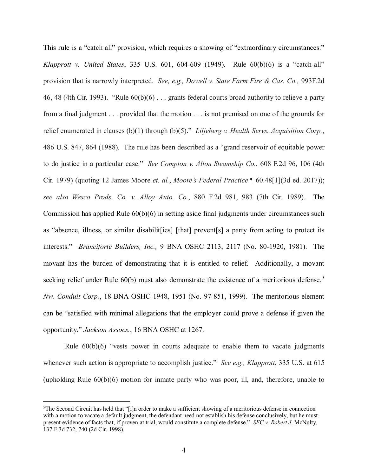This rule is a "catch all" provision, which requires a showing of "extraordinary circumstances." *Klapprott v. United States*, 335 U.S. 601, 604-609 (1949). Rule 60(b)(6) is a "catch-all" provision that is narrowly interpreted. *See, e.g., Dowell v. State Farm Fire & Cas. Co.,* 993F.2d 46, 48 (4th Cir. 1993). "Rule 60(b)(6) . . . grants federal courts broad authority to relieve a party from a final judgment . . . provided that the motion . . . is not premised on one of the grounds for relief enumerated in clauses (b)(1) through (b)(5)." *Liljeberg v. Health Servs. Acquisition Corp.*, 486 U.S. 847, 864 (1988). The rule has been described as a "grand reservoir of equitable power to do justice in a particular case." *See Compton v. Alton Steamship Co.*, 608 F.2d 96, 106 (4th Cir. 1979) (quoting 12 James Moore *et. al.*, *Moore's Federal Practice* ¶ 60.48[1](3d ed. 2017)); *see also Wesco Prods. Co. v. Alloy Auto. Co.*, 880 F.2d 981, 983 (7th Cir. 1989). The Commission has applied Rule 60(b)(6) in setting aside final judgments under circumstances such as "absence, illness, or similar disabilit[ies] [that] prevent[s] a party from acting to protect its interests." *Branciforte Builders, Inc.,* 9 BNA OSHC 2113, 2117 (No. 80-1920, 1981). The movant has the burden of demonstrating that it is entitled to relief. Additionally, a movant seeking relief under Rule  $60(b)$  must also demonstrate the existence of a meritorious defense.<sup>[5](#page-3-0)</sup> *Nw. Conduit Corp.*, 18 BNA OSHC 1948, 1951 (No. 97-851, 1999). The meritorious element can be "satisfied with minimal allegations that the employer could prove a defense if given the opportunity." *Jackson Assocs.*, 16 BNA OSHC at 1267.

Rule  $60(b)(6)$  "vests power in courts adequate to enable them to vacate judgments whenever such action is appropriate to accomplish justice." *See e.g., Klapprott*, 335 U.S. at 615 (upholding Rule 60(b)(6) motion for inmate party who was poor, ill, and, therefore, unable to

<span id="page-3-0"></span><sup>&</sup>lt;sup>5</sup>The Second Circuit has held that "[i]n order to make a sufficient showing of a meritorious defense in connection with a motion to vacate a default judgment, the defendant need not establish his defense conclusively, but he must present evidence of facts that, if proven at trial, would constitute a complete defense." *SEC v. Robert J.* McNulty, 137 F.3d 732, 740 (2d Cir. 1998).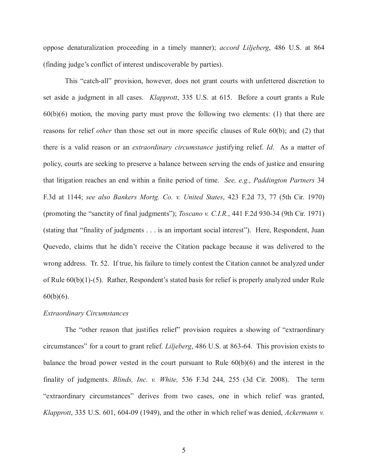oppose denaturalization proceeding in a timely manner); *accord Liljeberg*, 486 U.S. at 864 (finding judge's conflict of interest undiscoverable by parties).

This "catch-all" provision, however, does not grant courts with unfettered discretion to set aside a judgment in all cases. *Klapprott*, 335 U.S. at 615. Before a court grants a Rule  $60(b)(6)$  motion, the moving party must prove the following two elements: (1) that there are reasons for relief *other* than those set out in more specific clauses of Rule 60(b); and (2) that there is a valid reason or an *extraordinary circumstance* justifying relief. *Id*. As a matter of policy, courts are seeking to preserve a balance between serving the ends of justice and ensuring that litigation reaches an end within a finite period of time. *See, e.g., Paddington Partners* 34 F.3d at 1144; *see also Bankers Mortg. Co. v. United States*, 423 F.2d 73, 77 (5th Cir. 1970) (promoting the "sanctity of final judgments"); *Toscano v. C.I.R.*, 441 F.2d 930-34 (9th Cir. 1971) (stating that "finality of judgments . . . is an important social interest"). Here, Respondent, Juan Quevedo, claims that he didn't receive the Citation package because it was delivered to the wrong address. Tr. 52. If true, his failure to timely contest the Citation cannot be analyzed under of Rule 60(b)(1)-(5). Rather, Respondent's stated basis for relief is properly analyzed under Rule  $60(b)(6)$ .

#### *Extraordinary Circumstances*

The "other reason that justifies relief" provision requires a showing of "extraordinary circumstances" for a court to grant relief. *Liljeberg*, 486 U.S. at 863-64. This provision exists to balance the broad power vested in the court pursuant to Rule 60(b)(6) and the interest in the finality of judgments. *Blinds, Inc. v. White,* 536 F.3d 244, 255 (3d Cir. 2008). The term "extraordinary circumstances" derives from two cases, one in which relief was granted, *Klapprott*, 335 U.S. 601, 604-09 (1949), and the other in which relief was denied, *Ackermann v.*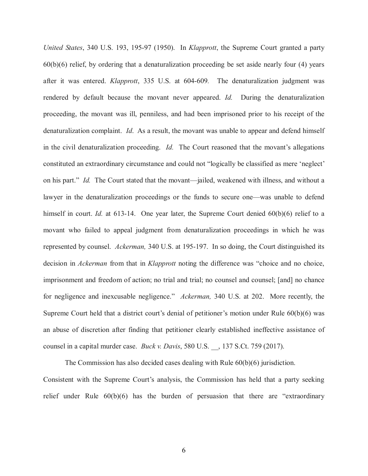*United States*, 340 U.S. 193, 195-97 (1950). In *Klapprott*, the Supreme Court granted a party 60(b)(6) relief, by ordering that a denaturalization proceeding be set aside nearly four (4) years after it was entered. *Klapprott*, 335 U.S. at 604-609*.* The denaturalization judgment was rendered by default because the movant never appeared. *Id.* During the denaturalization proceeding, the movant was ill, penniless, and had been imprisoned prior to his receipt of the denaturalization complaint. *Id*. As a result, the movant was unable to appear and defend himself in the civil denaturalization proceeding. *Id.* The Court reasoned that the movant's allegations constituted an extraordinary circumstance and could not "logically be classified as mere 'neglect' on his part." *Id.* The Court stated that the movant—jailed, weakened with illness, and without a lawyer in the denaturalization proceedings or the funds to secure one—was unable to defend himself in court. *Id.* at 613-14. One year later, the Supreme Court denied 60(b)(6) relief to a movant who failed to appeal judgment from denaturalization proceedings in which he was represented by counsel. *Ackerman,* 340 U.S. at 195-197. In so doing, the Court distinguished its decision in *Ackerman* from that in *Klapprott* noting the difference was "choice and no choice, imprisonment and freedom of action; no trial and trial; no counsel and counsel; [and] no chance for negligence and inexcusable negligence." *Ackerman,* 340 U.S. at 202. More recently, the Supreme Court held that a district court's denial of petitioner's motion under Rule 60(b)(6) was an abuse of discretion after finding that petitioner clearly established ineffective assistance of counsel in a capital murder case. *Buck v. Davis*, 580 U.S. \_\_, 137 S.Ct. 759 (2017).

The Commission has also decided cases dealing with Rule 60(b)(6) jurisdiction. Consistent with the Supreme Court's analysis, the Commission has held that a party seeking relief under Rule 60(b)(6) has the burden of persuasion that there are "extraordinary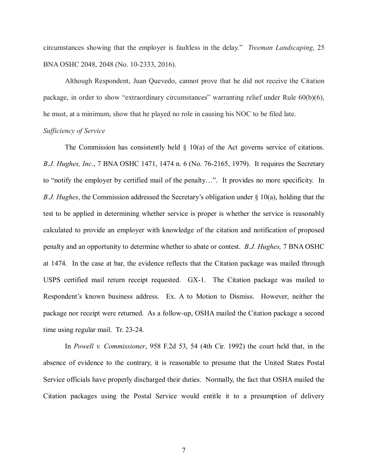circumstances showing that the employer is faultless in the delay." *Treeman Landscaping*, 25 BNA OSHC 2048, 2048 (No. 10-2333, 2016).

Although Respondent, Juan Quevedo, cannot prove that he did not receive the Citation package, in order to show "extraordinary circumstances" warranting relief under Rule 60(b)(6), he must, at a minimum, show that he played no role in causing his NOC to be filed late.

### *Sufficiency of Service*

The Commission has consistently held  $\S$  10(a) of the Act governs service of citations. *B.J. Hughes, Inc*., 7 BNA OSHC 1471, 1474 n. 6 (No. 76-2165, 1979). It requires the Secretary to "notify the employer by certified mail of the penalty…". It provides no more specificity. In *B.J. Hughes*, the Commission addressed the Secretary's obligation under § 10(a), holding that the test to be applied in determining whether service is proper is whether the service is reasonably calculated to provide an employer with knowledge of the citation and notification of proposed penalty and an opportunity to determine whether to abate or contest. *B.J. Hughes,* 7 BNA OSHC at 1474. In the case at bar, the evidence reflects that the Citation package was mailed through USPS certified mail return receipt requested. GX-1. The Citation package was mailed to Respondent's known business address. Ex. A to Motion to Dismiss. However, neither the package nor receipt were returned. As a follow-up, OSHA mailed the Citation package a second time using regular mail. Tr. 23-24.

In *Powell v. Commissioner*, 958 F.2d 53, 54 (4th Cir. 1992) the court held that, in the absence of evidence to the contrary, it is reasonable to presume that the United States Postal Service officials have properly discharged their duties. Normally, the fact that OSHA mailed the Citation packages using the Postal Service would entitle it to a presumption of delivery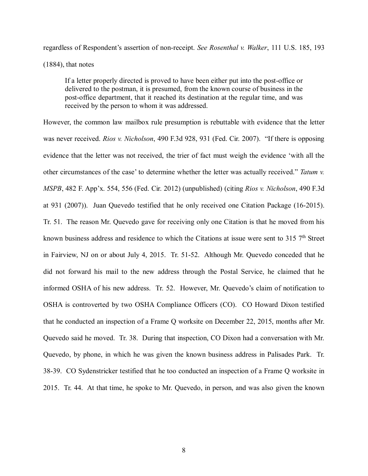regardless of Respondent's assertion of non-receipt. *See Rosenthal v. Walker*, 111 U.S. 185, 193 (1884), that notes

If a letter properly directed is proved to have been either put into the post-office or delivered to the postman, it is presumed, from the known course of business in the post-office department, that it reached its destination at the regular time, and was received by the person to whom it was addressed.

However, the common law mailbox rule presumption is rebuttable with evidence that the letter was never received. *Rios v. Nicholson*, 490 F.3d 928, 931 (Fed. Cir. 2007). "If there is opposing evidence that the letter was not received, the trier of fact must weigh the evidence 'with all the other circumstances of the case' to determine whether the letter was actually received." *Tatum v. MSPB*, 482 F. App'x. 554, 556 (Fed. Cir. 2012) (unpublished) (citing *Rios v. Nicholson*, 490 F.3d at 931 (2007)). Juan Quevedo testified that he only received one Citation Package (16-2015). Tr. 51. The reason Mr. Quevedo gave for receiving only one Citation is that he moved from his known business address and residence to which the Citations at issue were sent to  $315$  7<sup>th</sup> Street in Fairview, NJ on or about July 4, 2015. Tr. 51-52. Although Mr. Quevedo conceded that he did not forward his mail to the new address through the Postal Service, he claimed that he informed OSHA of his new address. Tr. 52. However, Mr. Quevedo's claim of notification to OSHA is controverted by two OSHA Compliance Officers (CO). CO Howard Dixon testified that he conducted an inspection of a Frame Q worksite on December 22, 2015, months after Mr. Quevedo said he moved. Tr. 38. During that inspection, CO Dixon had a conversation with Mr. Quevedo, by phone, in which he was given the known business address in Palisades Park. Tr. 38-39. CO Sydenstricker testified that he too conducted an inspection of a Frame Q worksite in 2015. Tr. 44. At that time, he spoke to Mr. Quevedo, in person, and was also given the known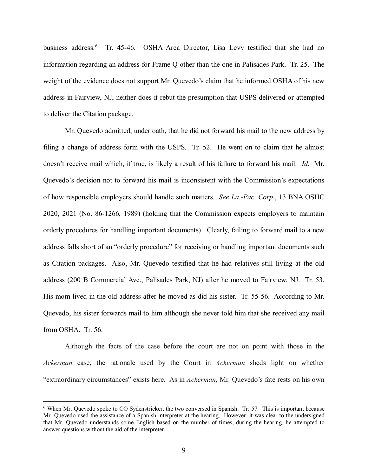business address.<sup>[6](#page-8-0)</sup> Tr. 45-46. OSHA Area Director, Lisa Levy testified that she had no information regarding an address for Frame Q other than the one in Palisades Park. Tr. 25. The weight of the evidence does not support Mr. Quevedo's claim that he informed OSHA of his new address in Fairview, NJ, neither does it rebut the presumption that USPS delivered or attempted to deliver the Citation package.

Mr. Quevedo admitted, under oath, that he did not forward his mail to the new address by filing a change of address form with the USPS. Tr. 52. He went on to claim that he almost doesn't receive mail which, if true, is likely a result of his failure to forward his mail. *Id*. Mr. Quevedo's decision not to forward his mail is inconsistent with the Commission's expectations of how responsible employers should handle such matters. *See La.-Pac. Corp.*, 13 BNA OSHC 2020, 2021 (No. 86-1266, 1989) (holding that the Commission expects employers to maintain orderly procedures for handling important documents). Clearly, failing to forward mail to a new address falls short of an "orderly procedure" for receiving or handling important documents such as Citation packages. Also, Mr. Quevedo testified that he had relatives still living at the old address (200 B Commercial Ave., Palisades Park, NJ) after he moved to Fairview, NJ. Tr. 53. His mom lived in the old address after he moved as did his sister. Tr. 55-56. According to Mr. Quevedo, his sister forwards mail to him although she never told him that she received any mail from OSHA. Tr. 56.

Although the facts of the case before the court are not on point with those in the *Ackerman* case, the rationale used by the Court in *Ackerman* sheds light on whether "extraordinary circumstances" exists here. As in *Ackerman*, Mr. Quevedo's fate rests on his own

<span id="page-8-0"></span><sup>&</sup>lt;sup>6</sup> When Mr. Quevedo spoke to CO Sydenstricker, the two conversed in Spanish. Tr. 57. This is important because Mr. Quevedo used the assistance of a Spanish interpreter at the hearing. However, it was clear to the undersigned that Mr. Quevedo understands some English based on the number of times, during the hearing, he attempted to answer questions without the aid of the interpreter.